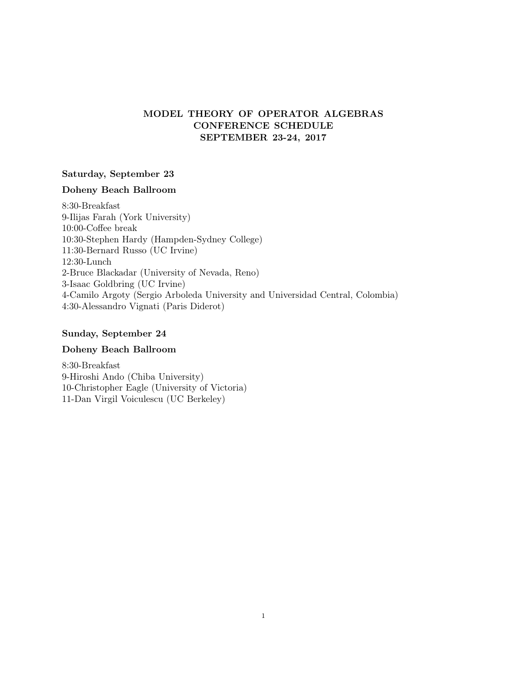# MODEL THEORY OF OPERATOR ALGEBRAS CONFERENCE SCHEDULE SEPTEMBER 23-24, 2017

### Saturday, September 23

## Doheny Beach Ballroom

8:30-Breakfast 9-Ilijas Farah (York University) 10:00-Coffee break 10:30-Stephen Hardy (Hampden-Sydney College) 11:30-Bernard Russo (UC Irvine) 12:30-Lunch 2-Bruce Blackadar (University of Nevada, Reno) 3-Isaac Goldbring (UC Irvine) 4-Camilo Argoty (Sergio Arboleda University and Universidad Central, Colombia) 4:30-Alessandro Vignati (Paris Diderot)

## Sunday, September 24

## Doheny Beach Ballroom

8:30-Breakfast 9-Hiroshi Ando (Chiba University) 10-Christopher Eagle (University of Victoria) 11-Dan Virgil Voiculescu (UC Berkeley)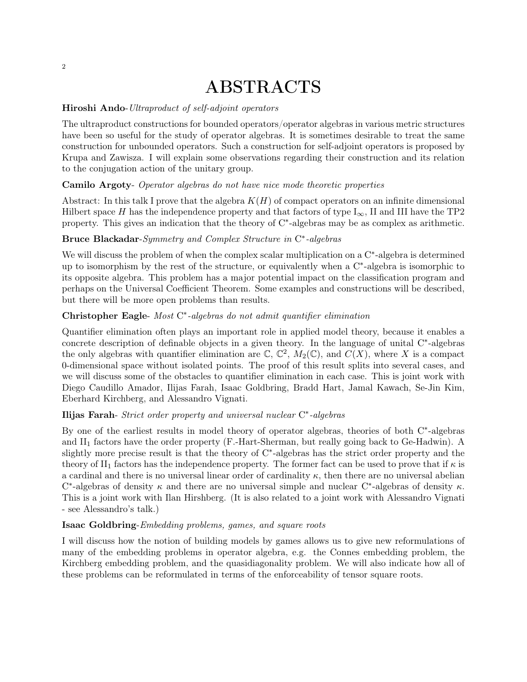# ABSTRACTS

## Hiroshi Ando-Ultraproduct of self-adjoint operators

The ultraproduct constructions for bounded operators/operator algebras in various metric structures have been so useful for the study of operator algebras. It is sometimes desirable to treat the same construction for unbounded operators. Such a construction for self-adjoint operators is proposed by Krupa and Zawisza. I will explain some observations regarding their construction and its relation to the conjugation action of the unitary group.

### Camilo Argoty- Operator algebras do not have nice mode theoretic properties

Abstract: In this talk I prove that the algebra  $K(H)$  of compact operators on an infinite dimensional Hilbert space H has the independence property and that factors of type  $I_{\infty}$ , II and III have the TP2 property. This gives an indication that the theory of  $C^*$ -algebras may be as complex as arithmetic.

# Bruce Blackadar-Symmetry and Complex Structure in C<sup>\*</sup>-algebras

We will discuss the problem of when the complex scalar multiplication on a  $C^*$ -algebra is determined up to isomorphism by the rest of the structure, or equivalently when a C<sup>\*</sup>-algebra is isomorphic to its opposite algebra. This problem has a major potential impact on the classification program and perhaps on the Universal Coefficient Theorem. Some examples and constructions will be described, but there will be more open problems than results.

# Christopher Eagle- Most C\*-algebras do not admit quantifier elimination

Quantifier elimination often plays an important role in applied model theory, because it enables a concrete description of definable objects in a given theory. In the language of unital C<sup>\*</sup>-algebras the only algebras with quantifier elimination are  $\mathbb{C}, \mathbb{C}^2$ ,  $M_2(\mathbb{C})$ , and  $C(X)$ , where X is a compact 0-dimensional space without isolated points. The proof of this result splits into several cases, and we will discuss some of the obstacles to quantifier elimination in each case. This is joint work with Diego Caudillo Amador, Ilijas Farah, Isaac Goldbring, Bradd Hart, Jamal Kawach, Se-Jin Kim, Eberhard Kirchberg, and Alessandro Vignati.

# Ilijas Farah- Strict order property and universal nuclear C<sup>\*</sup>-algebras

By one of the earliest results in model theory of operator algebras, theories of both C\*-algebras and II<sup>1</sup> factors have the order property (F.-Hart-Sherman, but really going back to Ge-Hadwin). A slightly more precise result is that the theory of C<sup>\*</sup>-algebras has the strict order property and the theory of II<sub>1</sub> factors has the independence property. The former fact can be used to prove that if  $\kappa$  is a cardinal and there is no universal linear order of cardinality  $\kappa$ , then there are no universal abelian C<sup>\*</sup>-algebras of density  $\kappa$  and there are no universal simple and nuclear C<sup>\*</sup>-algebras of density  $\kappa$ . This is a joint work with Ilan Hirshberg. (It is also related to a joint work with Alessandro Vignati - see Alessandro's talk.)

#### Isaac Goldbring-Embedding problems, games, and square roots

I will discuss how the notion of building models by games allows us to give new reformulations of many of the embedding problems in operator algebra, e.g. the Connes embedding problem, the Kirchberg embedding problem, and the quasidiagonality problem. We will also indicate how all of these problems can be reformulated in terms of the enforceability of tensor square roots.